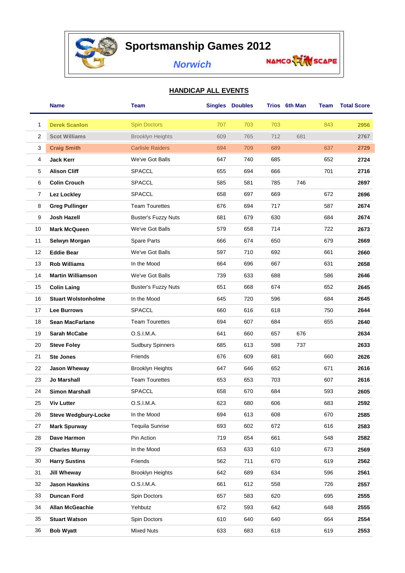

## **Sportsmanship Games 2012**

## *Norwich*

## **HANDICAP ALL EVENTS**

|    | Name                        | <b>Team</b>                |     | <b>Singles Doubles</b> |     | Trios 6th Man | Team | <b>Total Score</b> |
|----|-----------------------------|----------------------------|-----|------------------------|-----|---------------|------|--------------------|
| 1  | <b>Derek Scanlon</b>        | <b>Spin Doctors</b>        | 707 | 703                    | 703 |               | 843  | 2956               |
| 2  | <b>Scot Williams</b>        | <b>Brooklyn Heights</b>    | 609 | 765                    | 712 | 681           |      | 2767               |
| 3  | <b>Craig Smith</b>          | <b>Carlisle Raiders</b>    | 694 | 709                    | 689 |               | 637  | 2729               |
| 4  | <b>Jack Kerr</b>            | We've Got Balls            | 647 | 740                    | 685 |               | 652  | 2724               |
| 5  | <b>Alison Cliff</b>         | <b>SPACCL</b>              | 655 | 694                    | 666 |               | 701  | 2716               |
| 6  | <b>Colin Crouch</b>         | <b>SPACCL</b>              | 585 | 581                    | 785 | 746           |      | 2697               |
| 7  | <b>Lez Lockley</b>          | <b>SPACCL</b>              | 658 | 697                    | 669 |               | 672  | 2696               |
| 8  | <b>Greg Pullinger</b>       | <b>Team Tourettes</b>      | 676 | 694                    | 717 |               | 587  | 2674               |
| 9  | Josh Hazell                 | <b>Buster's Fuzzy Nuts</b> | 681 | 679                    | 630 |               | 684  | 2674               |
| 10 | <b>Mark McQueen</b>         | We've Got Balls            | 579 | 658                    | 714 |               | 722  | 2673               |
| 11 | Selwyn Morgan               | Spare Parts                | 666 | 674                    | 650 |               | 679  | 2669               |
| 12 | <b>Eddie Bear</b>           | We've Got Balls            | 597 | 710                    | 692 |               | 661  | 2660               |
| 13 | <b>Rob Williams</b>         | In the Mood                | 664 | 696                    | 667 |               | 631  | 2658               |
| 14 | <b>Martin Williamson</b>    | We've Got Balls            | 739 | 633                    | 688 |               | 586  | 2646               |
| 15 | <b>Colin Laing</b>          | <b>Buster's Fuzzy Nuts</b> | 651 | 668                    | 674 |               | 652  | 2645               |
| 16 | <b>Stuart Wolstonholme</b>  | In the Mood                | 645 | 720                    | 596 |               | 684  | 2645               |
| 17 | Lee Burrows                 | <b>SPACCL</b>              | 660 | 616                    | 618 |               | 750  | 2644               |
| 18 | <b>Sean MacFarlane</b>      | <b>Team Tourettes</b>      | 694 | 607                    | 684 |               | 655  | 2640               |
| 19 | <b>Sarah McCabe</b>         | O.S.I.M.A.                 | 641 | 660                    | 657 | 676           |      | 2634               |
| 20 | <b>Steve Foley</b>          | <b>Sudbury Spinners</b>    | 685 | 613                    | 598 | 737           |      | 2633               |
| 21 | <b>Ste Jones</b>            | Friends                    | 676 | 609                    | 681 |               | 660  | 2626               |
| 22 | Jason Wheway                | <b>Brooklyn Heights</b>    | 647 | 646                    | 652 |               | 671  | 2616               |
| 23 | Jo Marshall                 | <b>Team Tourettes</b>      | 653 | 653                    | 703 |               | 607  | 2616               |
| 24 | <b>Simon Marshall</b>       | SPACCL                     | 658 | 670                    | 684 |               | 593  | 2605               |
| 25 | Viv Lutter                  | O.S.I.M.A.                 | 623 | 680                    | 606 |               | 683  | 2592               |
| 26 | <b>Steve Wedgbury-Locke</b> | In the Mood                | 694 | 613                    | 608 |               | 670  | 2585               |
| 27 | <b>Mark Spurway</b>         | <b>Tequila Sunrise</b>     | 693 | 602                    | 672 |               | 616  | 2583               |
| 28 | Dave Harmon                 | Pin Action                 | 719 | 654                    | 661 |               | 548  | 2582               |
| 29 | <b>Charles Murray</b>       | In the Mood                | 653 | 633                    | 610 |               | 673  | 2569               |
| 30 | <b>Harry Sustins</b>        | Friends                    | 562 | 711                    | 670 |               | 619  | 2562               |
| 31 | Jill Wheway                 | <b>Brooklyn Heights</b>    | 642 | 689                    | 634 |               | 596  | 2561               |
| 32 | <b>Jason Hawkins</b>        | O.S.I.M.A.                 | 661 | 612                    | 558 |               | 726  | 2557               |
| 33 | Duncan Ford                 | Spin Doctors               | 657 | 583                    | 620 |               | 695  | 2555               |
| 34 | Allan McGeachie             | Yehbutz                    | 672 | 593                    | 642 |               | 648  | 2555               |
| 35 | <b>Stuart Watson</b>        | Spin Doctors               | 610 | 640                    | 640 |               | 664  | 2554               |
| 36 | <b>Bob Wyatt</b>            | Mixed Nuts                 | 633 | 683                    | 618 |               | 619  | 2553               |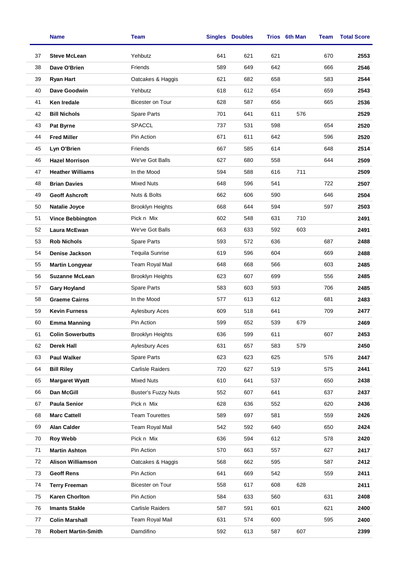|    | Name                       | Team                       |     | <b>Singles Doubles</b> |     | Trios 6th Man | Team | <b>Total Score</b> |
|----|----------------------------|----------------------------|-----|------------------------|-----|---------------|------|--------------------|
| 37 | <b>Steve McLean</b>        | Yehbutz                    | 641 | 621                    | 621 |               | 670  | 2553               |
| 38 | Dave O'Brien               | Friends                    | 589 | 649                    | 642 |               | 666  | 2546               |
| 39 | <b>Ryan Hart</b>           | Oatcakes & Haggis          | 621 | 682                    | 658 |               | 583  | 2544               |
| 40 | Dave Goodwin               | Yehbutz                    | 618 | 612                    | 654 |               | 659  | 2543               |
| 41 | Ken Iredale                | Bicester on Tour           | 628 | 587                    | 656 |               | 665  | 2536               |
| 42 | <b>Bill Nichols</b>        | Spare Parts                | 701 | 641                    | 611 | 576           |      | 2529               |
| 43 | <b>Pat Byrne</b>           | <b>SPACCL</b>              | 737 | 531                    | 598 |               | 654  | 2520               |
| 44 | <b>Fred Miller</b>         | Pin Action                 | 671 | 611                    | 642 |               | 596  | 2520               |
| 45 | Lyn O'Brien                | Friends                    | 667 | 585                    | 614 |               | 648  | 2514               |
| 46 | <b>Hazel Morrison</b>      | We've Got Balls            | 627 | 680                    | 558 |               | 644  | 2509               |
| 47 | <b>Heather Williams</b>    | In the Mood                | 594 | 588                    | 616 | 711           |      | 2509               |
| 48 | <b>Brian Davies</b>        | Mixed Nuts                 | 648 | 596                    | 541 |               | 722  | 2507               |
| 49 | <b>Geoff Ashcroft</b>      | Nuts & Bolts               | 662 | 606                    | 590 |               | 646  | 2504               |
| 50 | <b>Natalie Joyce</b>       | <b>Brooklyn Heights</b>    | 668 | 644                    | 594 |               | 597  | 2503               |
| 51 | <b>Vince Bebbington</b>    | Pick n Mix                 | 602 | 548                    | 631 | 710           |      | 2491               |
| 52 | Laura McEwan               | We've Got Balls            | 663 | 633                    | 592 | 603           |      | 2491               |
| 53 | <b>Rob Nichols</b>         | Spare Parts                | 593 | 572                    | 636 |               | 687  | 2488               |
| 54 | Denise Jackson             | <b>Tequila Sunrise</b>     | 619 | 596                    | 604 |               | 669  | 2488               |
| 55 | <b>Martin Longyear</b>     | Team Royal Mail            | 648 | 668                    | 566 |               | 603  | 2485               |
| 56 | <b>Suzanne McLean</b>      | <b>Brooklyn Heights</b>    | 623 | 607                    | 699 |               | 556  | 2485               |
| 57 | <b>Gary Hoyland</b>        | Spare Parts                | 583 | 603                    | 593 |               | 706  | 2485               |
| 58 | <b>Graeme Cairns</b>       | In the Mood                | 577 | 613                    | 612 |               | 681  | 2483               |
| 59 | <b>Kevin Furness</b>       | Aylesbury Aces             | 609 | 518                    | 641 |               | 709  | 2477               |
| 60 | <b>Emma Manning</b>        | Pin Action                 | 599 | 652                    | 539 | 679           |      | 2469               |
| 61 | <b>Colin Sowerbutts</b>    | Brooklyn Heights           | 636 | 599                    | 611 |               | 607  | 2453               |
| 62 | <b>Derek Hall</b>          | <b>Aylesbury Aces</b>      | 631 | 657                    | 583 | 579           |      | 2450               |
| 63 | <b>Paul Walker</b>         | Spare Parts                | 623 | 623                    | 625 |               | 576  | 2447               |
| 64 | <b>Bill Riley</b>          | <b>Carlisle Raiders</b>    | 720 | 627                    | 519 |               | 575  | 2441               |
| 65 | <b>Margaret Wyatt</b>      | <b>Mixed Nuts</b>          | 610 | 641                    | 537 |               | 650  | 2438               |
| 66 | Dan McGill                 | <b>Buster's Fuzzy Nuts</b> | 552 | 607                    | 641 |               | 637  | 2437               |
| 67 | <b>Paula Senior</b>        | Pick n Mix                 | 628 | 636                    | 552 |               | 620  | 2436               |
| 68 | <b>Marc Cattell</b>        | <b>Team Tourettes</b>      | 589 | 697                    | 581 |               | 559  | 2426               |
| 69 | <b>Alan Calder</b>         | Team Royal Mail            | 542 | 592                    | 640 |               | 650  | 2424               |
| 70 | <b>Roy Webb</b>            | Pick n Mix                 | 636 | 594                    | 612 |               | 578  | 2420               |
| 71 | <b>Martin Ashton</b>       | Pin Action                 | 570 | 663                    | 557 |               | 627  | 2417               |
| 72 | <b>Alison Williamson</b>   | Oatcakes & Haggis          | 568 | 662                    | 595 |               | 587  | 2412               |
| 73 | <b>Geoff Rens</b>          | Pin Action                 | 641 | 669                    | 542 |               | 559  | 2411               |
| 74 | <b>Terry Freeman</b>       | Bicester on Tour           | 558 | 617                    | 608 | 628           |      | 2411               |
| 75 | <b>Karen Chorlton</b>      | Pin Action                 | 584 | 633                    | 560 |               | 631  | 2408               |
| 76 | <b>Imants Stakle</b>       | <b>Carlisle Raiders</b>    | 587 | 591                    | 601 |               | 621  | 2400               |
| 77 | <b>Colin Marshall</b>      | Team Royal Mail            | 631 | 574                    | 600 |               | 595  | 2400               |
| 78 | <b>Robert Martin-Smith</b> | Damdifino                  | 592 | 613                    | 587 | 607           |      | 2399               |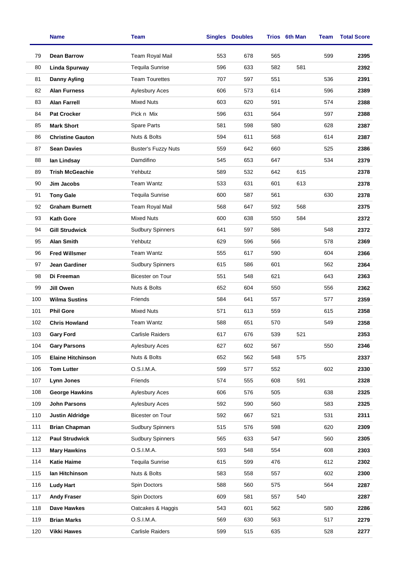|     | <b>Name</b>              | <b>Team</b>                |     | <b>Singles Doubles</b> |     | Trios 6th Man | Team | <b>Total Score</b> |
|-----|--------------------------|----------------------------|-----|------------------------|-----|---------------|------|--------------------|
| 79  | <b>Dean Barrow</b>       | Team Royal Mail            | 553 | 678                    | 565 |               | 599  | 2395               |
| 80  | <b>Linda Spurway</b>     | <b>Tequila Sunrise</b>     | 596 | 633                    | 582 | 581           |      | 2392               |
| 81  | <b>Danny Ayling</b>      | <b>Team Tourettes</b>      | 707 | 597                    | 551 |               | 536  | 2391               |
| 82  | <b>Alan Furness</b>      | Aylesbury Aces             | 606 | 573                    | 614 |               | 596  | 2389               |
| 83  | <b>Alan Farrell</b>      | <b>Mixed Nuts</b>          | 603 | 620                    | 591 |               | 574  | 2388               |
| 84  | <b>Pat Crocker</b>       | Pick n Mix                 | 596 | 631                    | 564 |               | 597  | 2388               |
| 85  | <b>Mark Short</b>        | Spare Parts                | 581 | 598                    | 580 |               | 628  | 2387               |
| 86  | <b>Christine Gauton</b>  | Nuts & Bolts               | 594 | 611                    | 568 |               | 614  | 2387               |
| 87  | <b>Sean Davies</b>       | <b>Buster's Fuzzy Nuts</b> | 559 | 642                    | 660 |               | 525  | 2386               |
| 88  | lan Lindsay              | Damdifino                  | 545 | 653                    | 647 |               | 534  | 2379               |
| 89  | <b>Trish McGeachie</b>   | Yehbutz                    | 589 | 532                    | 642 | 615           |      | 2378               |
| 90  | Jim Jacobs               | Team Wantz                 | 533 | 631                    | 601 | 613           |      | 2378               |
| 91  | <b>Tony Gale</b>         | <b>Tequila Sunrise</b>     | 600 | 587                    | 561 |               | 630  | 2378               |
| 92  | <b>Graham Burnett</b>    | Team Royal Mail            | 568 | 647                    | 592 | 568           |      | 2375               |
| 93  | <b>Kath Gore</b>         | <b>Mixed Nuts</b>          | 600 | 638                    | 550 | 584           |      | 2372               |
| 94  | <b>Gill Strudwick</b>    | <b>Sudbury Spinners</b>    | 641 | 597                    | 586 |               | 548  | 2372               |
| 95  | <b>Alan Smith</b>        | Yehbutz                    | 629 | 596                    | 566 |               | 578  | 2369               |
| 96  | <b>Fred Willsmer</b>     | <b>Team Wantz</b>          | 555 | 617                    | 590 |               | 604  | 2366               |
| 97  | Jean Gardiner            | <b>Sudbury Spinners</b>    | 615 | 586                    | 601 |               | 562  | 2364               |
| 98  | Di Freeman               | <b>Bicester on Tour</b>    | 551 | 548                    | 621 |               | 643  | 2363               |
| 99  | Jill Owen                | Nuts & Bolts               | 652 | 604                    | 550 |               | 556  | 2362               |
| 100 | <b>Wilma Sustins</b>     | Friends                    | 584 | 641                    | 557 |               | 577  | 2359               |
| 101 | <b>Phil Gore</b>         | <b>Mixed Nuts</b>          | 571 | 613                    | 559 |               | 615  | 2358               |
| 102 | <b>Chris Howland</b>     | Team Wantz                 | 588 | 651                    | 570 |               | 549  | 2358               |
| 103 | <b>Gary Ford</b>         | Carlisle Raiders           | 617 | 676                    | 539 | 521           |      | 2353               |
| 104 | <b>Gary Parsons</b>      | <b>Aylesbury Aces</b>      | 627 | 602                    | 567 |               | 550  | 2346               |
| 105 | <b>Elaine Hitchinson</b> | Nuts & Bolts               | 652 | 562                    | 548 | 575           |      | 2337               |
| 106 | <b>Tom Lutter</b>        | O.S.I.M.A.                 | 599 | 577                    | 552 |               | 602  | 2330               |
| 107 | Lynn Jones               | Friends                    | 574 | 555                    | 608 | 591           |      | 2328               |
| 108 | <b>George Hawkins</b>    | <b>Aylesbury Aces</b>      | 606 | 576                    | 505 |               | 638  | 2325               |
| 109 | John Parsons             | <b>Aylesbury Aces</b>      | 592 | 590                    | 560 |               | 583  | 2325               |
| 110 | <b>Justin Aldridge</b>   | Bicester on Tour           | 592 | 667                    | 521 |               | 531  | 2311               |
| 111 | <b>Brian Chapman</b>     | <b>Sudbury Spinners</b>    | 515 | 576                    | 598 |               | 620  | 2309               |
| 112 | <b>Paul Strudwick</b>    | <b>Sudbury Spinners</b>    | 565 | 633                    | 547 |               | 560  | 2305               |
| 113 | <b>Mary Hawkins</b>      | O.S.I.M.A.                 | 593 | 548                    | 554 |               | 608  | 2303               |
| 114 | <b>Katie Haime</b>       | <b>Tequila Sunrise</b>     | 615 | 599                    | 476 |               | 612  | 2302               |
| 115 | lan Hitchinson           | Nuts & Bolts               | 583 | 558                    | 557 |               | 602  | 2300               |
| 116 | <b>Ludy Hart</b>         | Spin Doctors               | 588 | 560                    | 575 |               | 564  | 2287               |
| 117 | <b>Andy Fraser</b>       | Spin Doctors               | 609 | 581                    | 557 | 540           |      | 2287               |
| 118 | Dave Hawkes              | Oatcakes & Haggis          | 543 | 601                    | 562 |               | 580  | 2286               |
| 119 | <b>Brian Marks</b>       | O.S.I.M.A.                 | 569 | 630                    | 563 |               | 517  | 2279               |
| 120 | <b>Vikki Hawes</b>       | Carlisle Raiders           | 599 | 515                    | 635 |               | 528  | 2277               |